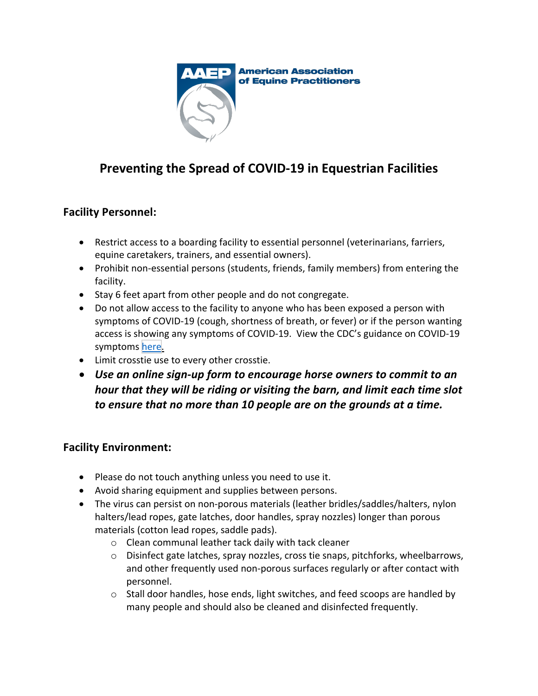

## **Preventing the Spread of COVID-19 in Equestrian Facilities**

## **Facility Personnel:**

- Restrict access to a boarding facility to essential personnel (veterinarians, farriers, equine caretakers, trainers, and essential owners).
- Prohibit non-essential persons (students, friends, family members) from entering the facility.
- Stay 6 feet apart from other people and do not congregate.
- Do not allow access to the facility to anyone who has been exposed a person with symptoms of COVID-19 (cough, shortness of breath, or fever) or if the person wanting access is showing any symptoms of COVID-19. View the CDC's guidance on COVID-19 symptoms [here.](https://www.cdc.gov/coronavirus/2019-ncov/symptoms-testing/symptoms.html)
- Limit crosstie use to every other crosstie.
- *Use an online sign-up form to encourage horse owners to commit to an hour that they will be riding or visiting the barn, and limit each time slot to ensure that no more than 10 people are on the grounds at a time.*

## **Facility Environment:**

- Please do not touch anything unless you need to use it.
- Avoid sharing equipment and supplies between persons.
- The virus can persist on non-porous materials (leather bridles/saddles/halters, nylon halters/lead ropes, gate latches, door handles, spray nozzles) longer than porous materials (cotton lead ropes, saddle pads).
	- o Clean communal leather tack daily with tack cleaner
	- o Disinfect gate latches, spray nozzles, cross tie snaps, pitchforks, wheelbarrows, and other frequently used non-porous surfaces regularly or after contact with personnel.
	- o Stall door handles, hose ends, light switches, and feed scoops are handled by many people and should also be cleaned and disinfected frequently.